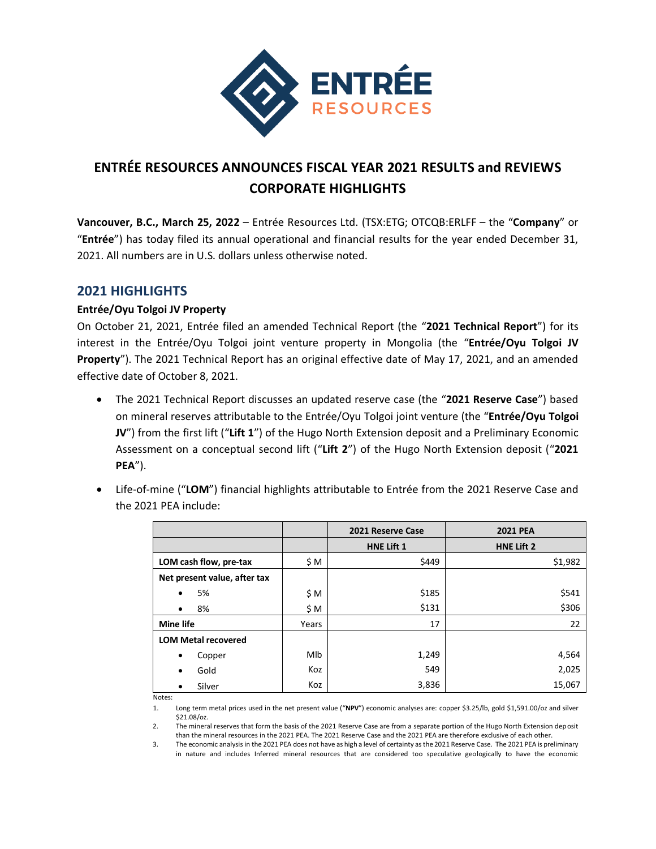

# **ENTRÉE RESOURCES ANNOUNCES FISCAL YEAR 2021 RESULTS and REVIEWS CORPORATE HIGHLIGHTS**

**Vancouver, B.C., March 25, 2022** – Entrée Resources Ltd. (TSX:ETG; OTCQB:ERLFF – the "**Company**" or "**Entrée**") has today filed its annual operational and financial results for the year ended December 31, 2021. All numbers are in U.S. dollars unless otherwise noted.

## **2021 HIGHLIGHTS**

### **Entrée/Oyu Tolgoi JV Property**

On October 21, 2021, Entrée filed an amended Technical Report (the "**2021 Technical Report**") for its interest in the Entrée/Oyu Tolgoi joint venture property in Mongolia (the "**Entrée/Oyu Tolgoi JV Property**"). The 2021 Technical Report has an original effective date of May 17, 2021, and an amended effective date of October 8, 2021.

- The 2021 Technical Report discusses an updated reserve case (the "**2021 Reserve Case**") based on mineral reserves attributable to the Entrée/Oyu Tolgoi joint venture (the "**Entrée/Oyu Tolgoi JV**") from the first lift ("**Lift 1**") of the Hugo North Extension deposit and a Preliminary Economic Assessment on a conceptual second lift ("**Lift 2**") of the Hugo North Extension deposit ("**2021 PEA**").
- Life-of-mine ("**LOM**") financial highlights attributable to Entrée from the 2021 Reserve Case and the 2021 PEA include:

|                              |       | 2021 Reserve Case | <b>2021 PEA</b>   |
|------------------------------|-------|-------------------|-------------------|
|                              |       | <b>HNE Lift 1</b> | <b>HNE Lift 2</b> |
| LOM cash flow, pre-tax       | \$M   | \$449             | \$1,982           |
| Net present value, after tax |       |                   |                   |
| 5%<br>$\bullet$              | \$M   | \$185             | \$541             |
| 8%<br>$\bullet$              | \$M   | \$131             | \$306             |
| <b>Mine life</b>             | Years | 17                | 22                |
| <b>LOM Metal recovered</b>   |       |                   |                   |
| Copper<br>٠                  | Mlb   | 1,249             | 4,564             |
| Gold<br>$\bullet$            | Koz   | 549               | 2,025             |
| Silver<br>٠                  | Koz   | 3,836             | 15,067            |

Notes:

1. Long term metal prices used in the net present value ("**NPV**") economic analyses are: copper \$3.25/lb, gold \$1,591.00/oz and silver \$21.08/oz.

2. The mineral reserves that form the basis of the 2021 Reserve Case are from a separate portion of the Hugo North Extension deposit than the mineral resources in the 2021 PEA. The 2021 Reserve Case and the 2021 PEA are therefore exclusive of each other.

3. The economic analysis in the 2021 PEA does not have as high a level of certainty as the 2021 Reserve Case. The 2021 PEA is preliminary in nature and includes Inferred mineral resources that are considered too speculative geologically to have the economic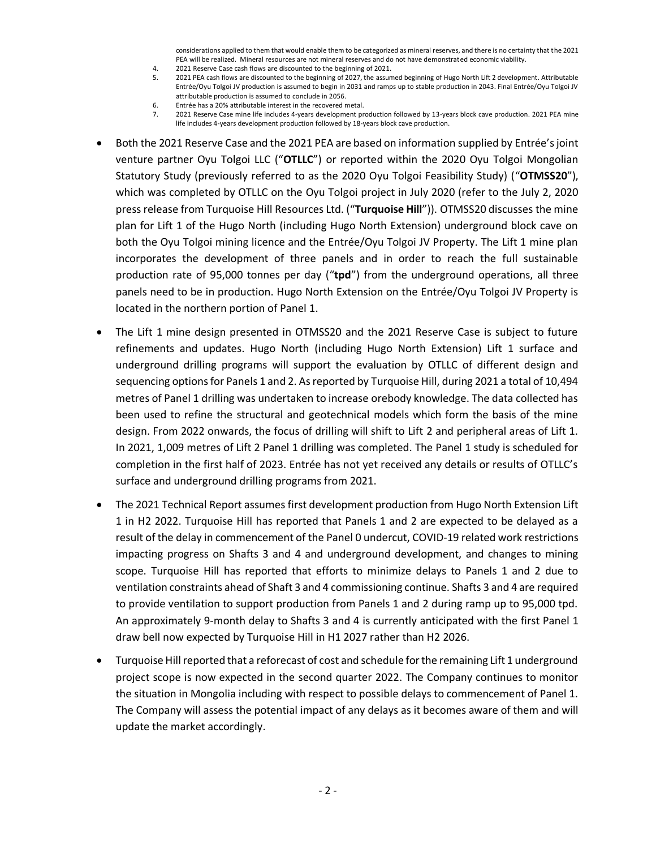considerations applied to them that would enable them to be categorized as mineral reserves, and there is no certainty that the 2021 PEA will be realized. Mineral resources are not mineral reserves and do not have demonstrated economic viability. 4. 2021 Reserve Case cash flows are discounted to the beginning of 2021.

- 5. 2021 PEA cash flows are discounted to the beginning of 2027, the assumed beginning of Hugo North Lift 2 development. Attributable Entrée/Oyu Tolgoi JV production is assumed to begin in 2031 and ramps up to stable production in 2043. Final Entrée/Oyu Tolgoi JV
- attributable production is assumed to conclude in 2056.
- 6. Entrée has a 20% attributable interest in the recovered metal.
- 7. 2021 Reserve Case mine life includes 4-years development production followed by 13-years block cave production. 2021 PEA mine life includes 4-years development production followed by 18-years block cave production.
- Both the 2021 Reserve Case and the 2021 PEA are based on information supplied by Entrée's joint venture partner Oyu Tolgoi LLC ("**OTLLC**") or reported within the 2020 Oyu Tolgoi Mongolian Statutory Study (previously referred to as the 2020 Oyu Tolgoi Feasibility Study) ("**OTMSS20**"), which was completed by OTLLC on the Oyu Tolgoi project in July 2020 (refer to the July 2, 2020 press release from Turquoise Hill Resources Ltd. ("**Turquoise Hill**")). OTMSS20 discusses the mine plan for Lift 1 of the Hugo North (including Hugo North Extension) underground block cave on both the Oyu Tolgoi mining licence and the Entrée/Oyu Tolgoi JV Property. The Lift 1 mine plan incorporates the development of three panels and in order to reach the full sustainable production rate of 95,000 tonnes per day ("**tpd**") from the underground operations, all three panels need to be in production. Hugo North Extension on the Entrée/Oyu Tolgoi JV Property is located in the northern portion of Panel 1.
- The Lift 1 mine design presented in OTMSS20 and the 2021 Reserve Case is subject to future refinements and updates. Hugo North (including Hugo North Extension) Lift 1 surface and underground drilling programs will support the evaluation by OTLLC of different design and sequencing options for Panels 1 and 2. As reported by Turquoise Hill, during 2021 a total of 10,494 metres of Panel 1 drilling was undertaken to increase orebody knowledge. The data collected has been used to refine the structural and geotechnical models which form the basis of the mine design. From 2022 onwards, the focus of drilling will shift to Lift 2 and peripheral areas of Lift 1. In 2021, 1,009 metres of Lift 2 Panel 1 drilling was completed. The Panel 1 study is scheduled for completion in the first half of 2023. Entrée has not yet received any details or results of OTLLC's surface and underground drilling programs from 2021.
- The 2021 Technical Report assumes first development production from Hugo North Extension Lift 1 in H2 2022. Turquoise Hill has reported that Panels 1 and 2 are expected to be delayed as a result of the delay in commencement of the Panel 0 undercut, COVID-19 related work restrictions impacting progress on Shafts 3 and 4 and underground development, and changes to mining scope. Turquoise Hill has reported that efforts to minimize delays to Panels 1 and 2 due to ventilation constraints ahead of Shaft 3 and 4 commissioning continue. Shafts 3 and 4 are required to provide ventilation to support production from Panels 1 and 2 during ramp up to 95,000 tpd. An approximately 9-month delay to Shafts 3 and 4 is currently anticipated with the first Panel 1 draw bell now expected by Turquoise Hill in H1 2027 rather than H2 2026.
- Turquoise Hill reported that a reforecast of cost and schedule for the remaining Lift 1 underground project scope is now expected in the second quarter 2022. The Company continues to monitor the situation in Mongolia including with respect to possible delays to commencement of Panel 1. The Company will assess the potential impact of any delays as it becomes aware of them and will update the market accordingly.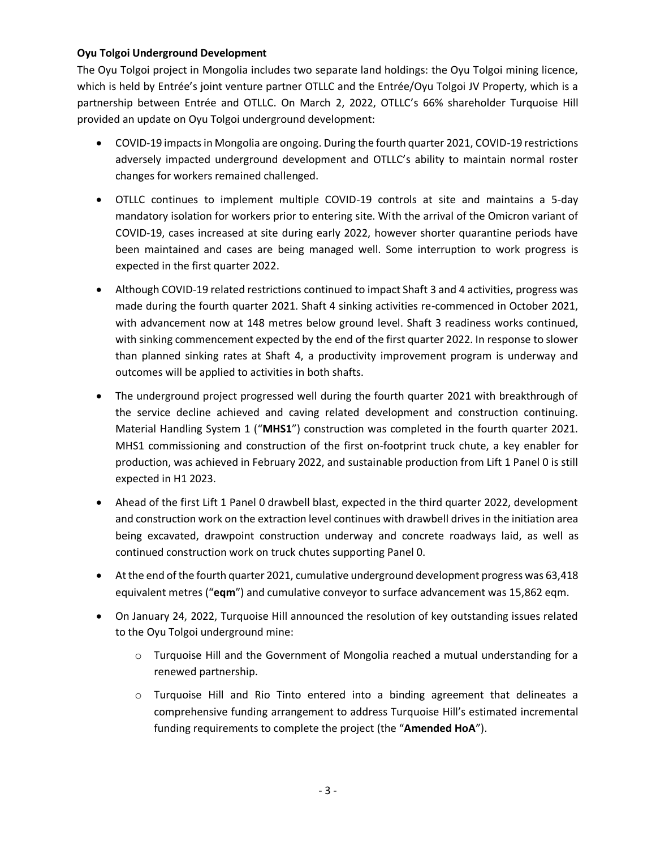### **Oyu Tolgoi Underground Development**

The Oyu Tolgoi project in Mongolia includes two separate land holdings: the Oyu Tolgoi mining licence, which is held by Entrée's joint venture partner OTLLC and the Entrée/Oyu Tolgoi JV Property, which is a partnership between Entrée and OTLLC. On March 2, 2022, OTLLC's 66% shareholder Turquoise Hill provided an update on Oyu Tolgoi underground development:

- COVID-19 impacts in Mongolia are ongoing. During the fourth quarter 2021, COVID-19 restrictions adversely impacted underground development and OTLLC's ability to maintain normal roster changes for workers remained challenged.
- OTLLC continues to implement multiple COVID-19 controls at site and maintains a 5-day mandatory isolation for workers prior to entering site. With the arrival of the Omicron variant of COVID-19, cases increased at site during early 2022, however shorter quarantine periods have been maintained and cases are being managed well. Some interruption to work progress is expected in the first quarter 2022.
- Although COVID-19 related restrictions continued to impact Shaft 3 and 4 activities, progress was made during the fourth quarter 2021. Shaft 4 sinking activities re-commenced in October 2021, with advancement now at 148 metres below ground level. Shaft 3 readiness works continued, with sinking commencement expected by the end of the first quarter 2022. In response to slower than planned sinking rates at Shaft 4, a productivity improvement program is underway and outcomes will be applied to activities in both shafts.
- The underground project progressed well during the fourth quarter 2021 with breakthrough of the service decline achieved and caving related development and construction continuing. Material Handling System 1 ("**MHS1**") construction was completed in the fourth quarter 2021. MHS1 commissioning and construction of the first on-footprint truck chute, a key enabler for production, was achieved in February 2022, and sustainable production from Lift 1 Panel 0 is still expected in H1 2023.
- Ahead of the first Lift 1 Panel 0 drawbell blast, expected in the third quarter 2022, development and construction work on the extraction level continues with drawbell drives in the initiation area being excavated, drawpoint construction underway and concrete roadways laid, as well as continued construction work on truck chutes supporting Panel 0.
- At the end of the fourth quarter 2021, cumulative underground development progress was 63,418 equivalent metres ("**eqm**") and cumulative conveyor to surface advancement was 15,862 eqm.
- On January 24, 2022, Turquoise Hill announced the resolution of key outstanding issues related to the Oyu Tolgoi underground mine:
	- $\circ$  Turquoise Hill and the Government of Mongolia reached a mutual understanding for a renewed partnership.
	- o Turquoise Hill and Rio Tinto entered into a binding agreement that delineates a comprehensive funding arrangement to address Turquoise Hill's estimated incremental funding requirements to complete the project (the "**Amended HoA**").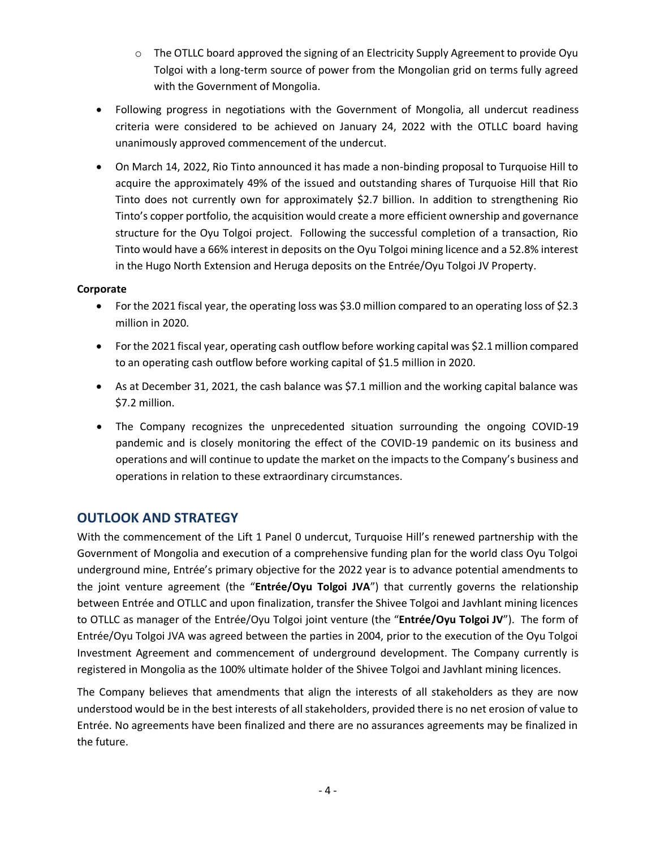- o The OTLLC board approved the signing of an Electricity Supply Agreement to provide Oyu Tolgoi with a long-term source of power from the Mongolian grid on terms fully agreed with the Government of Mongolia.
- Following progress in negotiations with the Government of Mongolia, all undercut readiness criteria were considered to be achieved on January 24, 2022 with the OTLLC board having unanimously approved commencement of the undercut.
- On March 14, 2022, Rio Tinto announced it has made a non-binding proposal to Turquoise Hill to acquire the approximately 49% of the issued and outstanding shares of Turquoise Hill that Rio Tinto does not currently own for approximately \$2.7 billion. In addition to strengthening Rio Tinto's copper portfolio, the acquisition would create a more efficient ownership and governance structure for the Oyu Tolgoi project. Following the successful completion of a transaction, Rio Tinto would have a 66% interest in deposits on the Oyu Tolgoi mining licence and a 52.8% interest in the Hugo North Extension and Heruga deposits on the Entrée/Oyu Tolgoi JV Property.

### **Corporate**

- For the 2021 fiscal year, the operating loss was \$3.0 million compared to an operating loss of \$2.3 million in 2020.
- For the 2021 fiscal year, operating cash outflow before working capital was \$2.1 million compared to an operating cash outflow before working capital of \$1.5 million in 2020.
- As at December 31, 2021, the cash balance was \$7.1 million and the working capital balance was \$7.2 million.
- The Company recognizes the unprecedented situation surrounding the ongoing COVID-19 pandemic and is closely monitoring the effect of the COVID-19 pandemic on its business and operations and will continue to update the market on the impacts to the Company's business and operations in relation to these extraordinary circumstances.

# **OUTLOOK AND STRATEGY**

With the commencement of the Lift 1 Panel 0 undercut, Turquoise Hill's renewed partnership with the Government of Mongolia and execution of a comprehensive funding plan for the world class Oyu Tolgoi underground mine, Entrée's primary objective for the 2022 year is to advance potential amendments to the joint venture agreement (the "**Entrée/Oyu Tolgoi JVA**") that currently governs the relationship between Entrée and OTLLC and upon finalization, transfer the Shivee Tolgoi and Javhlant mining licences to OTLLC as manager of the Entrée/Oyu Tolgoi joint venture (the "**Entrée/Oyu Tolgoi JV**"). The form of Entrée/Oyu Tolgoi JVA was agreed between the parties in 2004, prior to the execution of the Oyu Tolgoi Investment Agreement and commencement of underground development. The Company currently is registered in Mongolia as the 100% ultimate holder of the Shivee Tolgoi and Javhlant mining licences.

The Company believes that amendments that align the interests of all stakeholders as they are now understood would be in the best interests of all stakeholders, provided there is no net erosion of value to Entrée. No agreements have been finalized and there are no assurances agreements may be finalized in the future.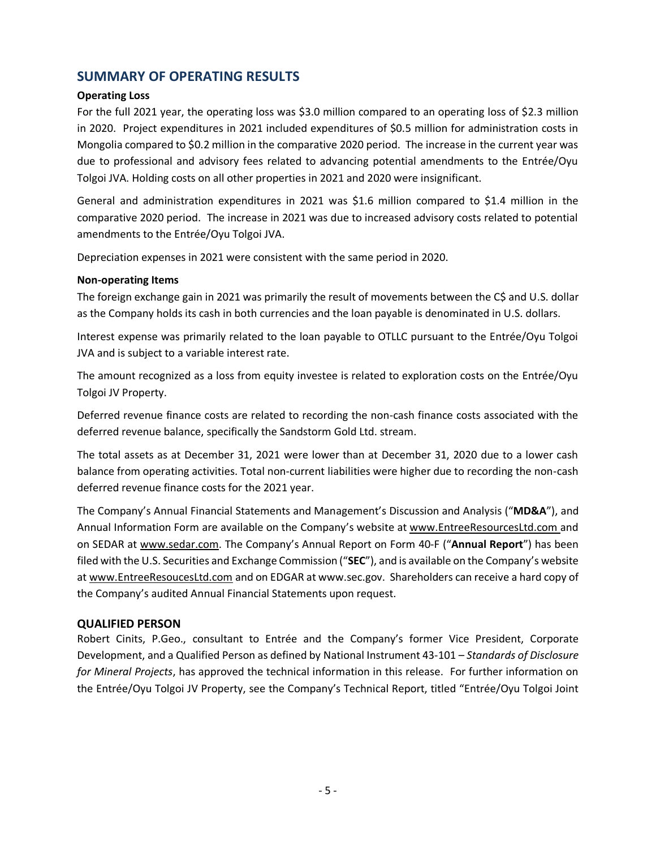# **SUMMARY OF OPERATING RESULTS**

#### **Operating Loss**

For the full 2021 year, the operating loss was \$3.0 million compared to an operating loss of \$2.3 million in 2020. Project expenditures in 2021 included expenditures of \$0.5 million for administration costs in Mongolia compared to \$0.2 million in the comparative 2020 period. The increase in the current year was due to professional and advisory fees related to advancing potential amendments to the Entrée/Oyu Tolgoi JVA. Holding costs on all other properties in 2021 and 2020 were insignificant.

General and administration expenditures in 2021 was \$1.6 million compared to \$1.4 million in the comparative 2020 period. The increase in 2021 was due to increased advisory costs related to potential amendments to the Entrée/Oyu Tolgoi JVA.

Depreciation expenses in 2021 were consistent with the same period in 2020.

#### **Non-operating Items**

The foreign exchange gain in 2021 was primarily the result of movements between the C\$ and U.S. dollar as the Company holds its cash in both currencies and the loan payable is denominated in U.S. dollars.

Interest expense was primarily related to the loan payable to OTLLC pursuant to the Entrée/Oyu Tolgoi JVA and is subject to a variable interest rate.

The amount recognized as a loss from equity investee is related to exploration costs on the Entrée/Oyu Tolgoi JV Property.

Deferred revenue finance costs are related to recording the non-cash finance costs associated with the deferred revenue balance, specifically the Sandstorm Gold Ltd. stream.

The total assets as at December 31, 2021 were lower than at December 31, 2020 due to a lower cash balance from operating activities. Total non-current liabilities were higher due to recording the non-cash deferred revenue finance costs for the 2021 year.

The Company's Annual Financial Statements and Management's Discussion and Analysis ("**MD&A**"), and Annual Information Form are available on the Company's website at [www.EntreeResourcesLtd.com](http://www.entreeresourcesltd.com/) and on SEDAR at [www.sedar.com.](http://www.sedar.com/) The Company's Annual Report on Form 40-F ("**Annual Report**") has been filed with the U.S. Securities and Exchange Commission ("**SEC**"), and is available on the Company's website at [www.EntreeResoucesLtd.com](http://www.entreeresoucesltd.com/) and on EDGAR at www.sec.gov. Shareholders can receive a hard copy of the Company's audited Annual Financial Statements upon request.

### **QUALIFIED PERSON**

Robert Cinits, P.Geo., consultant to Entrée and the Company's former Vice President, Corporate Development, and a Qualified Person as defined by National Instrument 43-101 – *Standards of Disclosure for Mineral Projects*, has approved the technical information in this release. For further information on the Entrée/Oyu Tolgoi JV Property, see the Company's Technical Report, titled "Entrée/Oyu Tolgoi Joint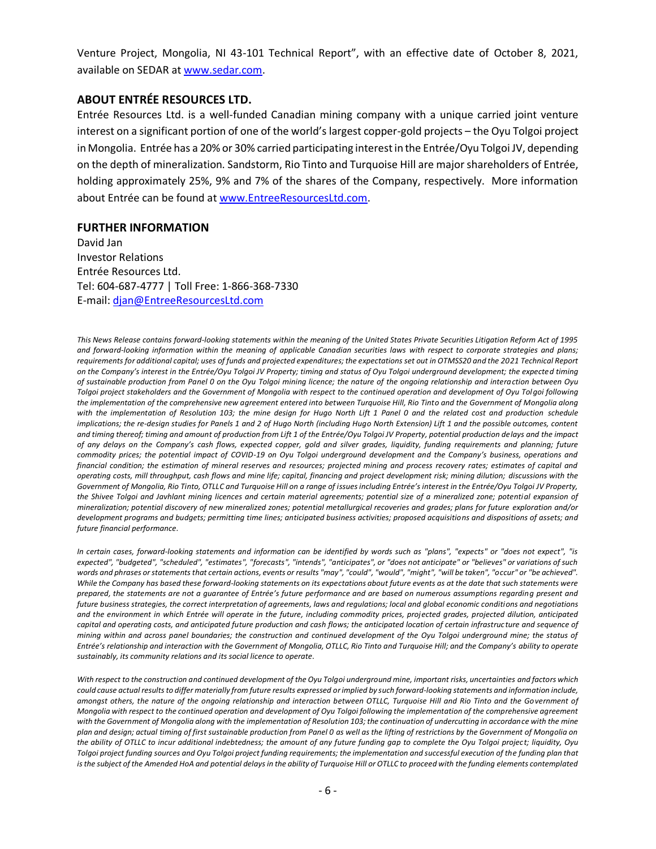Venture Project, Mongolia, NI 43-101 Technical Report", with an effective date of October 8, 2021, available on SEDAR a[t www.sedar.com.](http://www.sedar.com/)

### **ABOUT ENTRÉE RESOURCES LTD.**

Entrée Resources Ltd. is a well-funded Canadian mining company with a unique carried joint venture interest on a significant portion of one of the world's largest copper-gold projects – the Oyu Tolgoi project in Mongolia. Entrée has a 20% or 30% carried participating interest in the Entrée/Oyu Tolgoi JV, depending on the depth of mineralization. Sandstorm, Rio Tinto and Turquoise Hill are major shareholders of Entrée, holding approximately 25%, 9% and 7% of the shares of the Company, respectively. More information about Entrée can be found at [www.EntreeResourcesLtd.com.](http://www.entreeresourcesltd.com/)

#### **FURTHER INFORMATION**

David Jan Investor Relations Entrée Resources Ltd. Tel: 604-687-4777 | Toll Free: 1-866-368-7330 E-mail[: djan@EntreeResourcesLtd.com](mailto:djan@EntreeResourcesLtd.com)

*This News Release contains forward-looking statements within the meaning of the United States Private Securities Litigation Reform Act of 1995 and forward-looking information within the meaning of applicable Canadian securities laws with respect to corporate strategies and plans; requirements for additional capital; uses of funds and projected expenditures; the expectations set out in OTMSS20 and the 2021 Technical Report on the Company's interest in the Entrée/Oyu Tolgoi JV Property; timing and status of Oyu Tolgoi underground development; the expected timing of sustainable production from Panel 0 on the Oyu Tolgoi mining licence; the nature of the ongoing relationship and interaction between Oyu Tolgoi project stakeholders and the Government of Mongolia with respect to the continued operation and development of Oyu Tolgoi following the implementation of the comprehensive new agreement entered into between Turquoise Hill, Rio Tinto and the Government of Mongolia along*  with the implementation of Resolution 103; the mine design for Hugo North Lift 1 Panel 0 and the related cost and production schedule *implications; the re-design studies for Panels 1 and 2 of Hugo North (including Hugo North Extension) Lift 1 and the possible outcomes, content and timing thereof; timing and amount of production from Lift 1 of the Entrée/Oyu Tolgoi JV Property, potential production delays and the impact of any delays on the Company's cash flows, expected copper, gold and silver grades, liquidity, funding requirements and planning; future commodity prices; the potential impact of COVID-19 on Oyu Tolgoi underground development and the Company's business, operations and financial condition; the estimation of mineral reserves and resources; projected mining and process recovery rates; estimates of capital and operating costs, mill throughput, cash flows and mine life; capital, financing and project development risk; mining dilution; discussions with the Government of Mongolia, Rio Tinto, OTLLC and Turquoise Hill on a range of issues including Entrée's interest in the Entrée/Oyu Tolgoi JV Property, the Shivee Tolgoi and Javhlant mining licences and certain material agreements; potential size of a mineralized zone; potential expansion of mineralization; potential discovery of new mineralized zones; potential metallurgical recoveries and grades; plans for future exploration and/or development programs and budgets; permitting time lines; anticipated business activities; proposed acquisitions and dispositions of assets; and future financial performance.*

*In certain cases, forward-looking statements and information can be identified by words such as "plans", "expects" or "does not expect", "is expected", "budgeted", "scheduled", "estimates", "forecasts", "intends", "anticipates", or "does not anticipate" or "believes" or variations of such words and phrases or statements that certain actions, events or results "may", "could", "would", "might", "will be taken", "occur" or "be achieved". While the Company has based these forward-looking statements on its expectations about future events as at the date that such statements were prepared, the statements are not a guarantee of Entrée's future performance and are based on numerous assumptions regarding present and future business strategies, the correct interpretation of agreements, laws and regulations; local and global economic conditions and negotiations and the environment in which Entrée will operate in the future, including commodity prices, projected grades, projected dilution, anticipated capital and operating costs, and anticipated future production and cash flows; the anticipated location of certain infrastructure and sequence of mining within and across panel boundaries; the construction and continued development of the Oyu Tolgoi underground mine; the status of Entrée's relationship and interaction with the Government of Mongolia, OTLLC, Rio Tinto and Turquoise Hill; and the Company's ability to operate sustainably, its community relations and its social licence to operate.* 

*With respect to the construction and continued development of the Oyu Tolgoi underground mine, important risks, uncertainties and factors which could cause actual results to differ materially from future results expressed or implied by such forward-looking statements and information include, amongst others, the nature of the ongoing relationship and interaction between OTLLC, Turquoise Hill and Rio Tinto and the Government of Mongolia with respect to the continued operation and development of Oyu Tolgoi following the implementation of the comprehensive agreement with the Government of Mongolia along with the implementation of Resolution 103; the continuation of undercutting in accordance with the mine plan and design; actual timing of first sustainable production from Panel 0 as well as the lifting of restrictions by the Government of Mongolia on the ability of OTLLC to incur additional indebtedness; the amount of any future funding gap to complete the Oyu Tolgoi project; liquidity, Oyu Tolgoi project funding sources and Oyu Tolgoi project funding requirements; the implementation and successful execution of the funding plan that*  is the subject of the Amended HoA and potential delays in the ability of Turquoise Hill or OTLLC to proceed with the funding elements contemplated